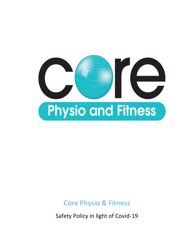

## Core Physio & Fitness

Safety Policy in light of Covid-19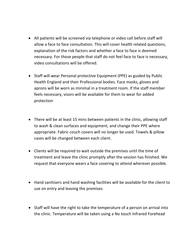- All patients will be screened via telephone or video call before staff will allow a face to face consultation. This will cover health related questions, explanation of the risk factors and whether a face to face is deemed necessary. For those people that staff do not feel face to face is necessary, video consultations will be offered.
- Staff will wear Personal protective Equipment (PPE) as guided by Public Health England and their Professional bodies. Face masks, gloves and aprons will be worn as minimal in a treatment room. If the staff member feels necessary, visors will be available for them to wear for added protection
- There will be at least 15 mins between patients in the clinic, allowing staff to wash & clean surfaces and equipment, and change their PPE where appropriate. Fabric couch covers will no longer be used. Towels & pillow cases will be changed between each client.
- Clients will be required to wait outside the premises until the time of treatment and leave the clinic promptly after the session has finished. We request that everyone wears a face covering to attend wherever possible.
- Hand sanitisers and hand washing facilities will be available for the client to use on entry and leaving the premises
- Staff will have the right to take the temperature of a person on arrival into the clinic. Temperature will be taken using a No touch Infrared Forehead